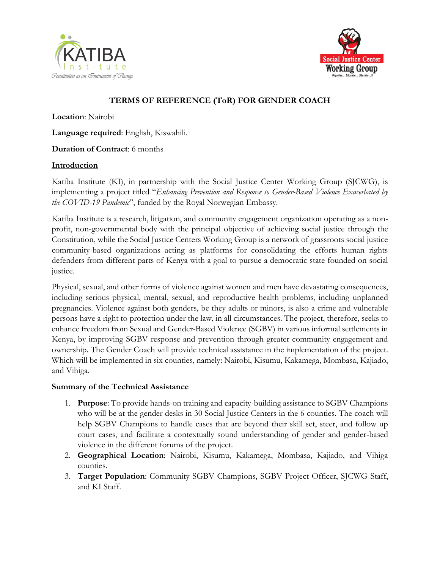



# **TERMS OF REFERENCE (ToR) FOR GENDER COACH**

**Location**: Nairobi

**Language required**: English, Kiswahili.

**Duration of Contract**: 6 months

#### **Introduction**

Katiba Institute (KI), in partnership with the Social Justice Center Working Group (SJCWG), is implementing a project titled "*Enhancing Prevention and Response to Gender-Based Violence Exacerbated by the COVID-19 Pandemic*", funded by the Royal Norwegian Embassy.

Katiba Institute is a research, litigation, and community engagement organization operating as a nonprofit, non-governmental body with the principal objective of achieving social justice through the Constitution, while the Social Justice Centers Working Group is a network of grassroots social justice community-based organizations acting as platforms for consolidating the efforts human rights defenders from different parts of Kenya with a goal to pursue a democratic state founded on social justice.

Physical, sexual, and other forms of violence against women and men have devastating consequences, including serious physical, mental, sexual, and reproductive health problems, including unplanned pregnancies. Violence against both genders, be they adults or minors, is also a crime and vulnerable persons have a right to protection under the law, in all circumstances. The project, therefore, seeks to enhance freedom from Sexual and Gender-Based Violence (SGBV) in various informal settlements in Kenya, by improving SGBV response and prevention through greater community engagement and ownership. The Gender Coach will provide technical assistance in the implementation of the project. Which will be implemented in six counties, namely: Nairobi, Kisumu, Kakamega, Mombasa, Kajiado, and Vihiga.

### **Summary of the Technical Assistance**

- 1. **Purpose**: To provide hands-on training and capacity-building assistance to SGBV Champions who will be at the gender desks in 30 Social Justice Centers in the 6 counties. The coach will help SGBV Champions to handle cases that are beyond their skill set, steer, and follow up court cases, and facilitate a contextually sound understanding of gender and gender-based violence in the different forums of the project.
- 2. **Geographical Location**: Nairobi, Kisumu, Kakamega, Mombasa, Kajiado, and Vihiga counties.
- 3. **Target Population**: Community SGBV Champions, SGBV Project Officer, SJCWG Staff, and KI Staff.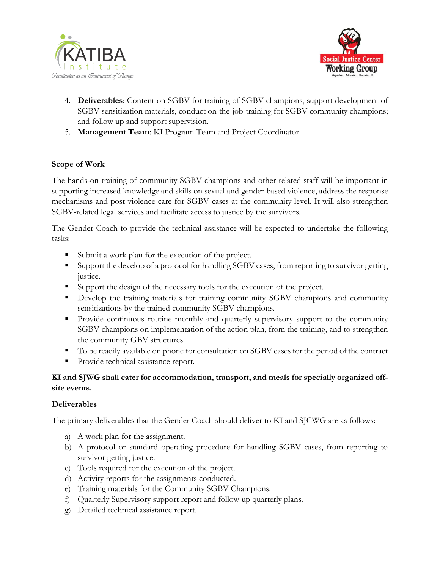



- 4. **Deliverables**: Content on SGBV for training of SGBV champions, support development of SGBV sensitization materials, conduct on-the-job-training for SGBV community champions; and follow up and support supervision.
- 5. **Management Team**: KI Program Team and Project Coordinator

### **Scope of Work**

The hands-on training of community SGBV champions and other related staff will be important in supporting increased knowledge and skills on sexual and gender-based violence, address the response mechanisms and post violence care for SGBV cases at the community level. It will also strengthen SGBV-related legal services and facilitate access to justice by the survivors.

The Gender Coach to provide the technical assistance will be expected to undertake the following tasks:

- Submit a work plan for the execution of the project.
- Support the develop of a protocol for handling SGBV cases, from reporting to survivor getting justice.
- Support the design of the necessary tools for the execution of the project.
- Develop the training materials for training community SGBV champions and community sensitizations by the trained community SGBV champions.
- **•** Provide continuous routine monthly and quarterly supervisory support to the community SGBV champions on implementation of the action plan, from the training, and to strengthen the community GBV structures.
- To be readily available on phone for consultation on SGBV cases for the period of the contract
- Provide technical assistance report.

### **KI and SJWG shall cater for accommodation, transport, and meals for specially organized offsite events.**

### **Deliverables**

The primary deliverables that the Gender Coach should deliver to KI and SJCWG are as follows:

- a) A work plan for the assignment.
- b) A protocol or standard operating procedure for handling SGBV cases, from reporting to survivor getting justice.
- c) Tools required for the execution of the project.
- d) Activity reports for the assignments conducted.
- e) Training materials for the Community SGBV Champions.
- f) Quarterly Supervisory support report and follow up quarterly plans.
- g) Detailed technical assistance report.